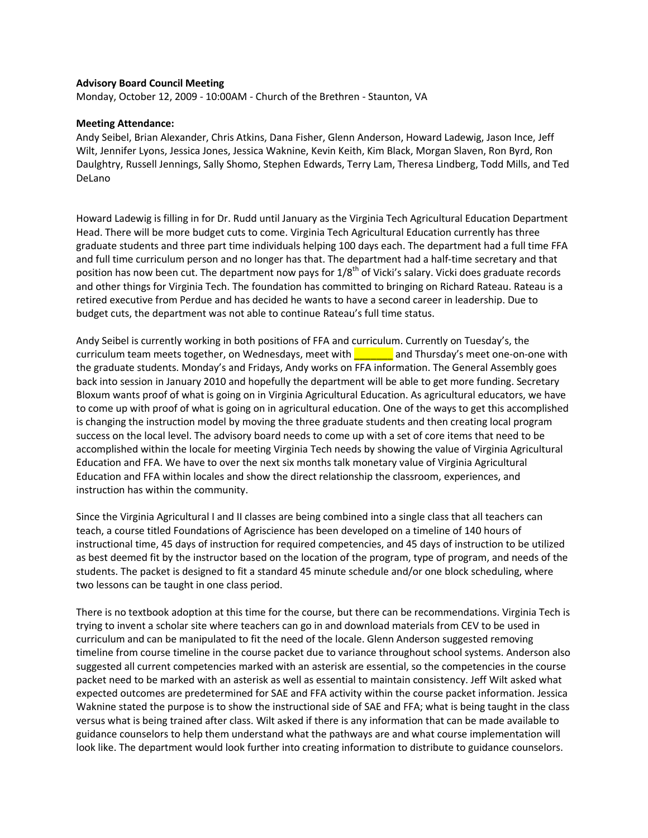## **Advisory Board Council Meeting**

Monday, October 12, 2009 - 10:00AM - Church of the Brethren - Staunton, VA

## **Meeting Attendance:**

Andy Seibel, Brian Alexander, Chris Atkins, Dana Fisher, Glenn Anderson, Howard Ladewig, Jason Ince, Jeff Wilt, Jennifer Lyons, Jessica Jones, Jessica Waknine, Kevin Keith, Kim Black, Morgan Slaven, Ron Byrd, Ron Daulghtry, Russell Jennings, Sally Shomo, Stephen Edwards, Terry Lam, Theresa Lindberg, Todd Mills, and Ted DeLano

Howard Ladewig is filling in for Dr. Rudd until January as the Virginia Tech Agricultural Education Department Head. There will be more budget cuts to come. Virginia Tech Agricultural Education currently has three graduate students and three part time individuals helping 100 days each. The department had a full time FFA and full time curriculum person and no longer has that. The department had a half-time secretary and that position has now been cut. The department now pays for 1/8<sup>th</sup> of Vicki's salary. Vicki does graduate records and other things for Virginia Tech. The foundation has committed to bringing on Richard Rateau. Rateau is a retired executive from Perdue and has decided he wants to have a second career in leadership. Due to budget cuts, the department was not able to continue Rateau's full time status.

Andy Seibel is currently working in both positions of FFA and curriculum. Currently on Tuesday's, the curriculum team meets together, on Wednesdays, meet with and Thursday's meet one-on-one with the graduate students. Monday's and Fridays, Andy works on FFA information. The General Assembly goes back into session in January 2010 and hopefully the department will be able to get more funding. Secretary Bloxum wants proof of what is going on in Virginia Agricultural Education. As agricultural educators, we have to come up with proof of what is going on in agricultural education. One of the ways to get this accomplished is changing the instruction model by moving the three graduate students and then creating local program success on the local level. The advisory board needs to come up with a set of core items that need to be accomplished within the locale for meeting Virginia Tech needs by showing the value of Virginia Agricultural Education and FFA. We have to over the next six months talk monetary value of Virginia Agricultural Education and FFA within locales and show the direct relationship the classroom, experiences, and instruction has within the community.

Since the Virginia Agricultural I and II classes are being combined into a single class that all teachers can teach, a course titled Foundations of Agriscience has been developed on a timeline of 140 hours of instructional time, 45 days of instruction for required competencies, and 45 days of instruction to be utilized as best deemed fit by the instructor based on the location of the program, type of program, and needs of the students. The packet is designed to fit a standard 45 minute schedule and/or one block scheduling, where two lessons can be taught in one class period.

There is no textbook adoption at this time for the course, but there can be recommendations. Virginia Tech is trying to invent a scholar site where teachers can go in and download materials from CEV to be used in curriculum and can be manipulated to fit the need of the locale. Glenn Anderson suggested removing timeline from course timeline in the course packet due to variance throughout school systems. Anderson also suggested all current competencies marked with an asterisk are essential, so the competencies in the course packet need to be marked with an asterisk as well as essential to maintain consistency. Jeff Wilt asked what expected outcomes are predetermined for SAE and FFA activity within the course packet information. Jessica Waknine stated the purpose is to show the instructional side of SAE and FFA; what is being taught in the class versus what is being trained after class. Wilt asked if there is any information that can be made available to guidance counselors to help them understand what the pathways are and what course implementation will look like. The department would look further into creating information to distribute to guidance counselors.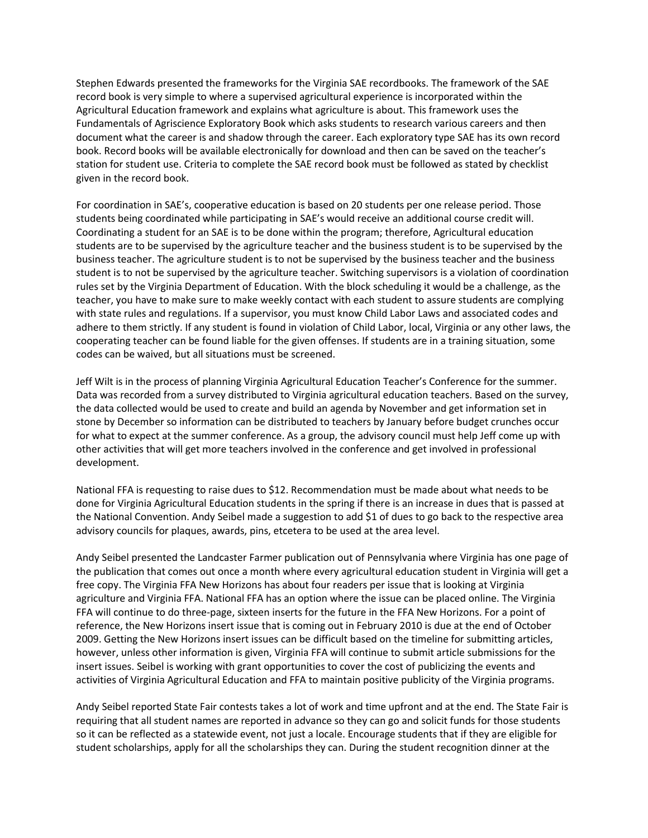Stephen Edwards presented the frameworks for the Virginia SAE recordbooks. The framework of the SAE record book is very simple to where a supervised agricultural experience is incorporated within the Agricultural Education framework and explains what agriculture is about. This framework uses the Fundamentals of Agriscience Exploratory Book which asks students to research various careers and then document what the career is and shadow through the career. Each exploratory type SAE has its own record book. Record books will be available electronically for download and then can be saved on the teacher's station for student use. Criteria to complete the SAE record book must be followed as stated by checklist given in the record book.

For coordination in SAE's, cooperative education is based on 20 students per one release period. Those students being coordinated while participating in SAE's would receive an additional course credit will. Coordinating a student for an SAE is to be done within the program; therefore, Agricultural education students are to be supervised by the agriculture teacher and the business student is to be supervised by the business teacher. The agriculture student is to not be supervised by the business teacher and the business student is to not be supervised by the agriculture teacher. Switching supervisors is a violation of coordination rules set by the Virginia Department of Education. With the block scheduling it would be a challenge, as the teacher, you have to make sure to make weekly contact with each student to assure students are complying with state rules and regulations. If a supervisor, you must know Child Labor Laws and associated codes and adhere to them strictly. If any student is found in violation of Child Labor, local, Virginia or any other laws, the cooperating teacher can be found liable for the given offenses. If students are in a training situation, some codes can be waived, but all situations must be screened.

Jeff Wilt is in the process of planning Virginia Agricultural Education Teacher's Conference for the summer. Data was recorded from a survey distributed to Virginia agricultural education teachers. Based on the survey, the data collected would be used to create and build an agenda by November and get information set in stone by December so information can be distributed to teachers by January before budget crunches occur for what to expect at the summer conference. As a group, the advisory council must help Jeff come up with other activities that will get more teachers involved in the conference and get involved in professional development.

National FFA is requesting to raise dues to \$12. Recommendation must be made about what needs to be done for Virginia Agricultural Education students in the spring if there is an increase in dues that is passed at the National Convention. Andy Seibel made a suggestion to add \$1 of dues to go back to the respective area advisory councils for plaques, awards, pins, etcetera to be used at the area level.

Andy Seibel presented the Landcaster Farmer publication out of Pennsylvania where Virginia has one page of the publication that comes out once a month where every agricultural education student in Virginia will get a free copy. The Virginia FFA New Horizons has about four readers per issue that is looking at Virginia agriculture and Virginia FFA. National FFA has an option where the issue can be placed online. The Virginia FFA will continue to do three-page, sixteen inserts for the future in the FFA New Horizons. For a point of reference, the New Horizons insert issue that is coming out in February 2010 is due at the end of October 2009. Getting the New Horizons insert issues can be difficult based on the timeline for submitting articles, however, unless other information is given, Virginia FFA will continue to submit article submissions for the insert issues. Seibel is working with grant opportunities to cover the cost of publicizing the events and activities of Virginia Agricultural Education and FFA to maintain positive publicity of the Virginia programs.

Andy Seibel reported State Fair contests takes a lot of work and time upfront and at the end. The State Fair is requiring that all student names are reported in advance so they can go and solicit funds for those students so it can be reflected as a statewide event, not just a locale. Encourage students that if they are eligible for student scholarships, apply for all the scholarships they can. During the student recognition dinner at the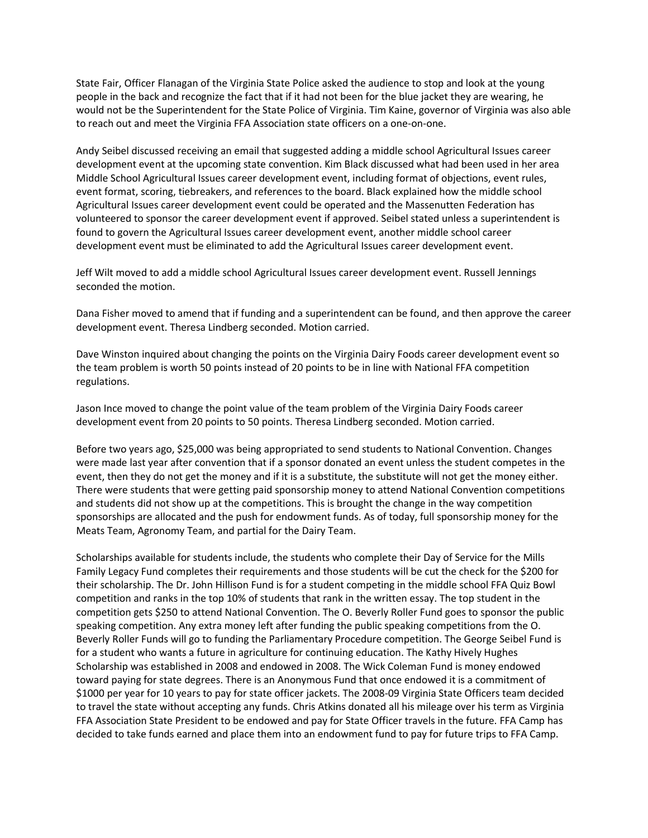State Fair, Officer Flanagan of the Virginia State Police asked the audience to stop and look at the young people in the back and recognize the fact that if it had not been for the blue jacket they are wearing, he would not be the Superintendent for the State Police of Virginia. Tim Kaine, governor of Virginia was also able to reach out and meet the Virginia FFA Association state officers on a one-on-one.

Andy Seibel discussed receiving an email that suggested adding a middle school Agricultural Issues career development event at the upcoming state convention. Kim Black discussed what had been used in her area Middle School Agricultural Issues career development event, including format of objections, event rules, event format, scoring, tiebreakers, and references to the board. Black explained how the middle school Agricultural Issues career development event could be operated and the Massenutten Federation has volunteered to sponsor the career development event if approved. Seibel stated unless a superintendent is found to govern the Agricultural Issues career development event, another middle school career development event must be eliminated to add the Agricultural Issues career development event.

Jeff Wilt moved to add a middle school Agricultural Issues career development event. Russell Jennings seconded the motion.

Dana Fisher moved to amend that if funding and a superintendent can be found, and then approve the career development event. Theresa Lindberg seconded. Motion carried.

Dave Winston inquired about changing the points on the Virginia Dairy Foods career development event so the team problem is worth 50 points instead of 20 points to be in line with National FFA competition regulations.

Jason Ince moved to change the point value of the team problem of the Virginia Dairy Foods career development event from 20 points to 50 points. Theresa Lindberg seconded. Motion carried.

Before two years ago, \$25,000 was being appropriated to send students to National Convention. Changes were made last year after convention that if a sponsor donated an event unless the student competes in the event, then they do not get the money and if it is a substitute, the substitute will not get the money either. There were students that were getting paid sponsorship money to attend National Convention competitions and students did not show up at the competitions. This is brought the change in the way competition sponsorships are allocated and the push for endowment funds. As of today, full sponsorship money for the Meats Team, Agronomy Team, and partial for the Dairy Team.

Scholarships available for students include, the students who complete their Day of Service for the Mills Family Legacy Fund completes their requirements and those students will be cut the check for the \$200 for their scholarship. The Dr. John Hillison Fund is for a student competing in the middle school FFA Quiz Bowl competition and ranks in the top 10% of students that rank in the written essay. The top student in the competition gets \$250 to attend National Convention. The O. Beverly Roller Fund goes to sponsor the public speaking competition. Any extra money left after funding the public speaking competitions from the O. Beverly Roller Funds will go to funding the Parliamentary Procedure competition. The George Seibel Fund is for a student who wants a future in agriculture for continuing education. The Kathy Hively Hughes Scholarship was established in 2008 and endowed in 2008. The Wick Coleman Fund is money endowed toward paying for state degrees. There is an Anonymous Fund that once endowed it is a commitment of \$1000 per year for 10 years to pay for state officer jackets. The 2008-09 Virginia State Officers team decided to travel the state without accepting any funds. Chris Atkins donated all his mileage over his term as Virginia FFA Association State President to be endowed and pay for State Officer travels in the future. FFA Camp has decided to take funds earned and place them into an endowment fund to pay for future trips to FFA Camp.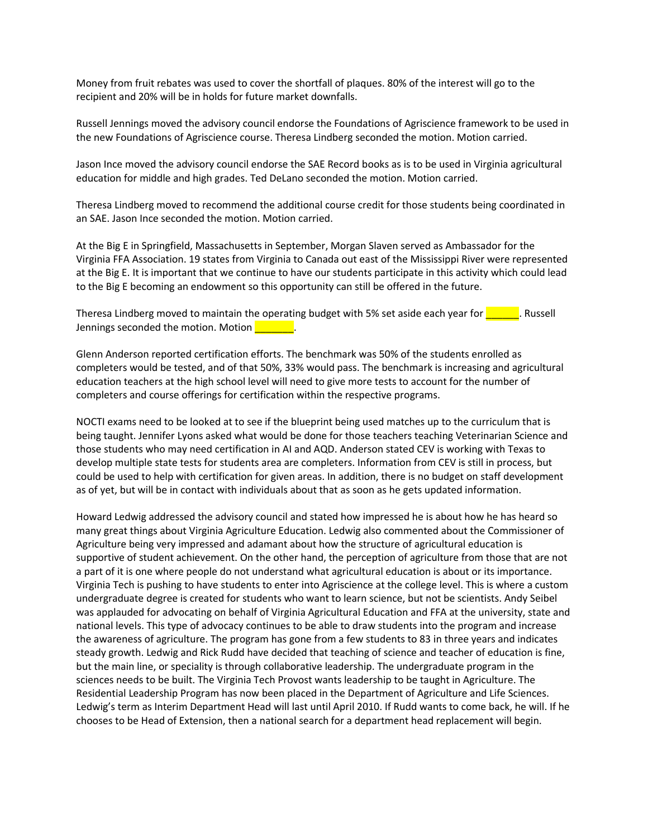Money from fruit rebates was used to cover the shortfall of plaques. 80% of the interest will go to the recipient and 20% will be in holds for future market downfalls.

Russell Jennings moved the advisory council endorse the Foundations of Agriscience framework to be used in the new Foundations of Agriscience course. Theresa Lindberg seconded the motion. Motion carried.

Jason Ince moved the advisory council endorse the SAE Record books as is to be used in Virginia agricultural education for middle and high grades. Ted DeLano seconded the motion. Motion carried.

Theresa Lindberg moved to recommend the additional course credit for those students being coordinated in an SAE. Jason Ince seconded the motion. Motion carried.

At the Big E in Springfield, Massachusetts in September, Morgan Slaven served as Ambassador for the Virginia FFA Association. 19 states from Virginia to Canada out east of the Mississippi River were represented at the Big E. It is important that we continue to have our students participate in this activity which could lead to the Big E becoming an endowment so this opportunity can still be offered in the future.

Theresa Lindberg moved to maintain the operating budget with 5% set aside each year for **with the States**. Russell Jennings seconded the motion. Motion

Glenn Anderson reported certification efforts. The benchmark was 50% of the students enrolled as completers would be tested, and of that 50%, 33% would pass. The benchmark is increasing and agricultural education teachers at the high school level will need to give more tests to account for the number of completers and course offerings for certification within the respective programs.

NOCTI exams need to be looked at to see if the blueprint being used matches up to the curriculum that is being taught. Jennifer Lyons asked what would be done for those teachers teaching Veterinarian Science and those students who may need certification in AI and AQD. Anderson stated CEV is working with Texas to develop multiple state tests for students area are completers. Information from CEV is still in process, but could be used to help with certification for given areas. In addition, there is no budget on staff development as of yet, but will be in contact with individuals about that as soon as he gets updated information.

Howard Ledwig addressed the advisory council and stated how impressed he is about how he has heard so many great things about Virginia Agriculture Education. Ledwig also commented about the Commissioner of Agriculture being very impressed and adamant about how the structure of agricultural education is supportive of student achievement. On the other hand, the perception of agriculture from those that are not a part of it is one where people do not understand what agricultural education is about or its importance. Virginia Tech is pushing to have students to enter into Agriscience at the college level. This is where a custom undergraduate degree is created for students who want to learn science, but not be scientists. Andy Seibel was applauded for advocating on behalf of Virginia Agricultural Education and FFA at the university, state and national levels. This type of advocacy continues to be able to draw students into the program and increase the awareness of agriculture. The program has gone from a few students to 83 in three years and indicates steady growth. Ledwig and Rick Rudd have decided that teaching of science and teacher of education is fine, but the main line, or speciality is through collaborative leadership. The undergraduate program in the sciences needs to be built. The Virginia Tech Provost wants leadership to be taught in Agriculture. The Residential Leadership Program has now been placed in the Department of Agriculture and Life Sciences. Ledwig's term as Interim Department Head will last until April 2010. If Rudd wants to come back, he will. If he chooses to be Head of Extension, then a national search for a department head replacement will begin.